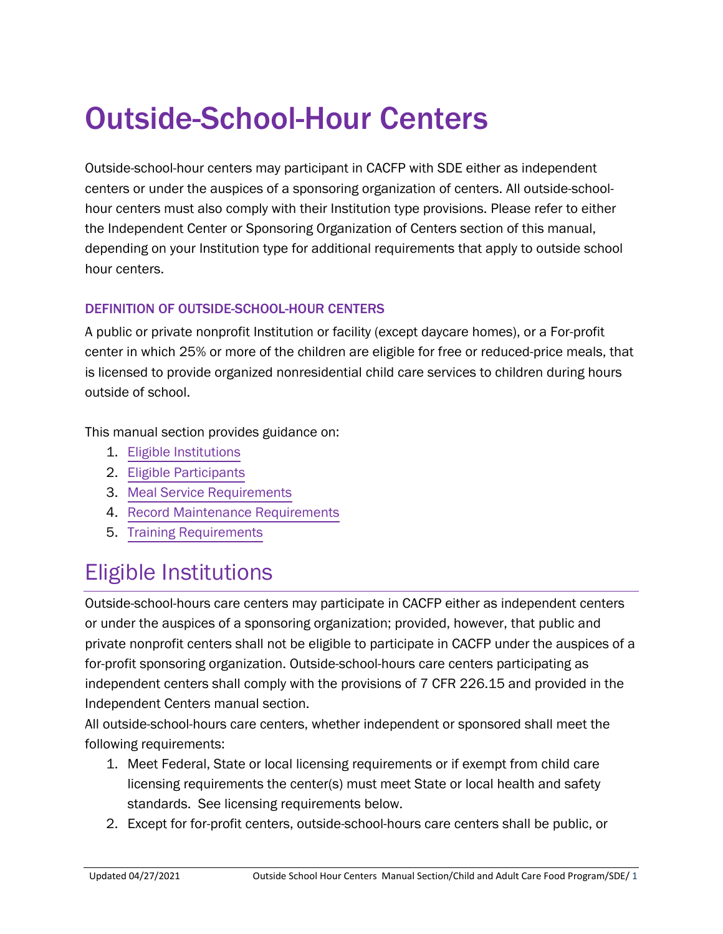# Outside-School-Hour Centers

Outside-school-hour centers may participant in CACFP with SDE either as independent centers or under the auspices of a sponsoring organization of centers. All outside-schoolhour centers must also comply with their Institution type provisions. Please refer to either the Independent Center or Sponsoring Organization of Centers section of this manual, depending on your Institution type for additional requirements that apply to outside school hour centers.

#### DEFINITION OF OUTSIDE-SCHOOL-HOUR CENTERS

A public or private nonprofit Institution or facility (except daycare homes), or a For-profit center in which 25% or more of the children are eligible for free or reduced-price meals, that is licensed to provide organized nonresidential child care services to children during hours outside of school.

This manual section provides guidance on:

- 1. Eligible Institutions
- 2. [Eligible Participants](#page-1-0)
- 3. [Meal Service Requirements](#page-2-0)
- 4. [Record Maintenance Requirements](#page-3-0)
- 5. [Training Requirements](#page-3-0)

### Eligible Institutions

Outside-school-hours care centers may participate in CACFP either as independent centers or under the auspices of a sponsoring organization; provided, however, that public and private nonprofit centers shall not be eligible to participate in CACFP under the auspices of a for-profit sponsoring organization. Outside-school-hours care centers participating as independent centers shall comply with the provisions of 7 CFR 226.15 and provided in the Independent Centers manual section.

All outside-school-hours care centers, whether independent or sponsored shall meet the following requirements:

- 1. Meet Federal, State or local licensing requirements or if exempt from child care licensing requirements the center(s) must meet State or local health and safety standards. See licensing requirements below.
- 2. Except for for-profit centers, outside-school-hours care centers shall be public, or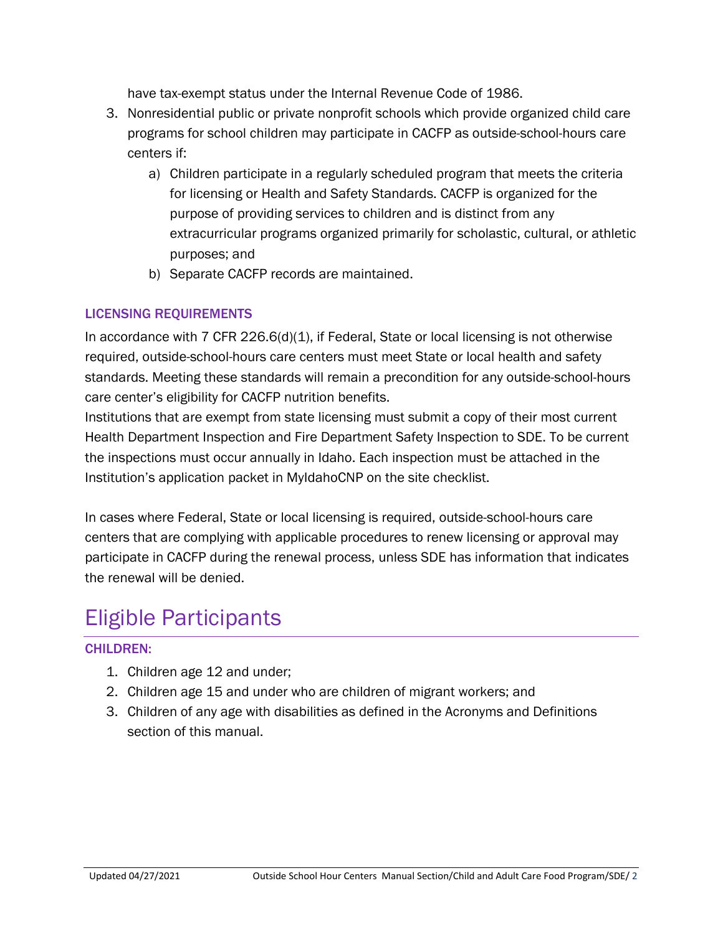have tax-exempt status under the Internal Revenue Code of 1986.

- <span id="page-1-0"></span>3. Nonresidential public or private nonprofit schools which provide organized child care programs for school children may participate in CACFP as outside-school-hours care centers if:
	- a) Children participate in a regularly scheduled program that meets the criteria for licensing or Health and Safety Standards. CACFP is organized for the purpose of providing services to children and is distinct from any extracurricular programs organized primarily for scholastic, cultural, or athletic purposes; and
	- b) Separate CACFP records are maintained.

#### LICENSING REQUIREMENTS

In accordance with 7 CFR 226.6(d)(1), if Federal, State or local licensing is not otherwise required, outside-school-hours care centers must meet State or local health and safety standards. Meeting these standards will remain a precondition for any outside-school-hours care center's eligibility for CACFP nutrition benefits.

Institutions that are exempt from state licensing must submit a copy of their most current Health Department Inspection and Fire Department Safety Inspection to SDE. To be current the inspections must occur annually in Idaho. Each inspection must be attached in the Institution's application packet in MyIdahoCNP on the site checklist.

In cases where Federal, State or local licensing is required, outside-school-hours care centers that are complying with applicable procedures to renew licensing or approval may participate in CACFP during the renewal process, unless SDE has information that indicates the renewal will be denied.

### Eligible Participants

#### CHILDREN:

- 1. Children age 12 and under;
- 2. Children age 15 and under who are children of migrant workers; and
- 3. Children of any age with disabilities as defined in the Acronyms and Definitions section of this manual.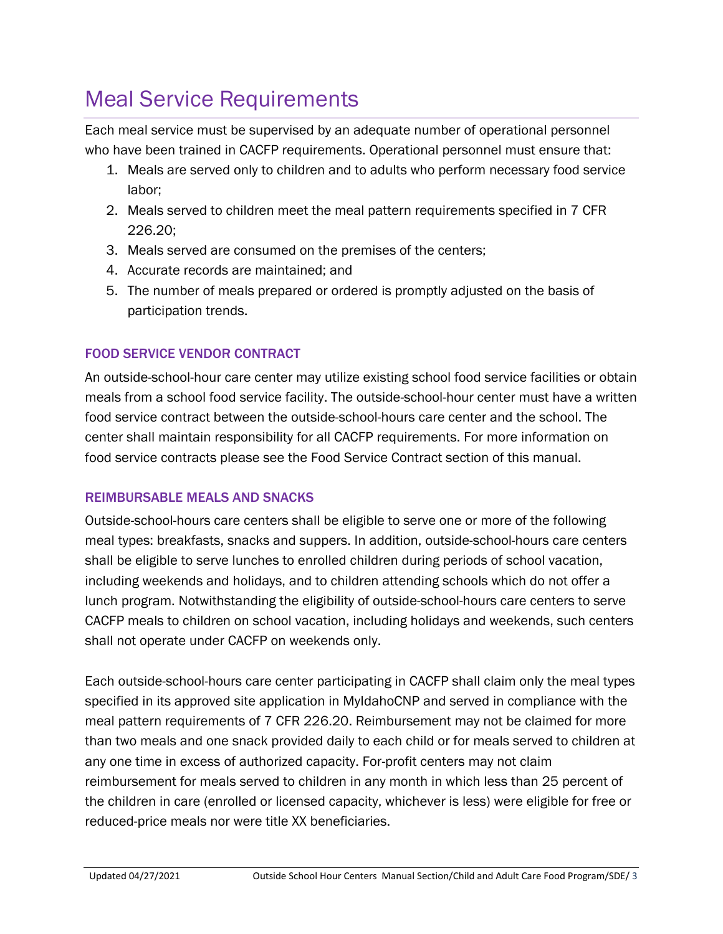## <span id="page-2-0"></span>Meal Service Requirements

Each meal service must be supervised by an adequate number of operational personnel who have been trained in CACFP requirements. Operational personnel must ensure that:

- 1. Meals are served only to children and to adults who perform necessary food service labor;
- 2. Meals served to children meet the meal pattern requirements specified in 7 CFR 226.20;
- 3. Meals served are consumed on the premises of the centers;
- 4. Accurate records are maintained; and
- 5. The number of meals prepared or ordered is promptly adjusted on the basis of participation trends.

### FOOD SERVICE VENDOR CONTRACT

An outside-school-hour care center may utilize existing school food service facilities or obtain meals from a school food service facility. The outside-school-hour center must have a written food service contract between the outside-school-hours care center and the school. The center shall maintain responsibility for all CACFP requirements. For more information on food service contracts please see the Food Service Contract section of this manual.

### REIMBURSABLE MEALS AND SNACKS

Outside-school-hours care centers shall be eligible to serve one or more of the following meal types: breakfasts, snacks and suppers. In addition, outside-school-hours care centers shall be eligible to serve lunches to enrolled children during periods of school vacation, including weekends and holidays, and to children attending schools which do not offer a lunch program. Notwithstanding the eligibility of outside-school-hours care centers to serve CACFP meals to children on school vacation, including holidays and weekends, such centers shall not operate under CACFP on weekends only.

Each outside-school-hours care center participating in CACFP shall claim only the meal types specified in its approved site application in MyIdahoCNP and served in compliance with the meal pattern requirements of 7 CFR 226.20. Reimbursement may not be claimed for more than two meals and one snack provided daily to each child or for meals served to children at any one time in excess of authorized capacity. For-profit centers may not claim reimbursement for meals served to children in any month in which less than 25 percent of the children in care (enrolled or licensed capacity, whichever is less) were eligible for free or reduced-price meals nor were title XX beneficiaries.